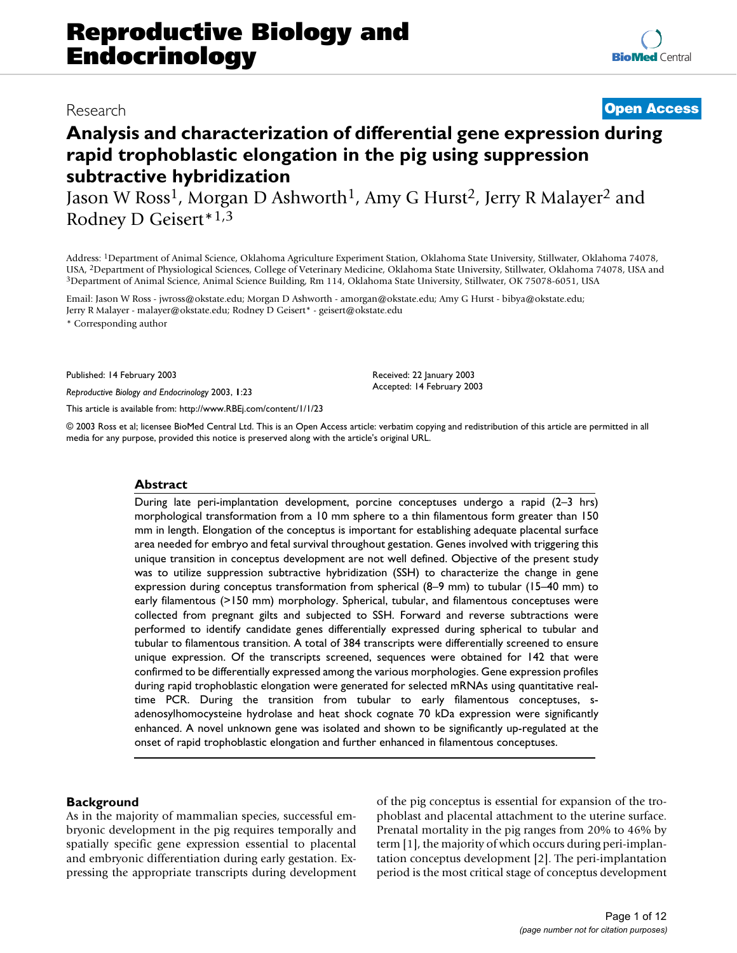# Research **[Open Access](http://www.biomedcentral.com/info/about/charter/)**

# **Analysis and characterization of differential gene expression during rapid trophoblastic elongation in the pig using suppression subtractive hybridization**

Jason W Ross<sup>1</sup>, Morgan D Ashworth<sup>1</sup>, Amy G Hurst<sup>2</sup>, Jerry R Malayer<sup>2</sup> and Rodney D Geisert\*1,3

Address: 1Department of Animal Science, Oklahoma Agriculture Experiment Station, Oklahoma State University, Stillwater, Oklahoma 74078, USA, <sup>2</sup>Department of Physiological Sciences, College of Veterinary Medicine, Oklahoma State University, Stillwater, Oklahoma 74078, USA and<br><sup>3</sup>Department of Animal Science, Animal Science Building, Rm 114, Oklahoma State

Email: Jason W Ross - jwross@okstate.edu; Morgan D Ashworth - amorgan@okstate.edu; Amy G Hurst - bibya@okstate.edu; Jerry R Malayer - malayer@okstate.edu; Rodney D Geisert\* - geisert@okstate.edu

\* Corresponding author

Published: 14 February 2003

*Reproductive Biology and Endocrinology* 2003, **1**:23

[This article is available from: http://www.RBEj.com/content/1/1/23](http://www.RBEj.com/content/1/1/23)

© 2003 Ross et al; licensee BioMed Central Ltd. This is an Open Access article: verbatim copying and redistribution of this article are permitted in all media for any purpose, provided this notice is preserved along with the article's original URL.

Received: 22 January 2003 Accepted: 14 February 2003

#### **Abstract**

During late peri-implantation development, porcine conceptuses undergo a rapid (2–3 hrs) morphological transformation from a 10 mm sphere to a thin filamentous form greater than 150 mm in length. Elongation of the conceptus is important for establishing adequate placental surface area needed for embryo and fetal survival throughout gestation. Genes involved with triggering this unique transition in conceptus development are not well defined. Objective of the present study was to utilize suppression subtractive hybridization (SSH) to characterize the change in gene expression during conceptus transformation from spherical (8–9 mm) to tubular (15–40 mm) to early filamentous (>150 mm) morphology. Spherical, tubular, and filamentous conceptuses were collected from pregnant gilts and subjected to SSH. Forward and reverse subtractions were performed to identify candidate genes differentially expressed during spherical to tubular and tubular to filamentous transition. A total of 384 transcripts were differentially screened to ensure unique expression. Of the transcripts screened, sequences were obtained for 142 that were confirmed to be differentially expressed among the various morphologies. Gene expression profiles during rapid trophoblastic elongation were generated for selected mRNAs using quantitative realtime PCR. During the transition from tubular to early filamentous conceptuses, sadenosylhomocysteine hydrolase and heat shock cognate 70 kDa expression were significantly enhanced. A novel unknown gene was isolated and shown to be significantly up-regulated at the onset of rapid trophoblastic elongation and further enhanced in filamentous conceptuses.

## **Background**

As in the majority of mammalian species, successful embryonic development in the pig requires temporally and spatially specific gene expression essential to placental and embryonic differentiation during early gestation. Expressing the appropriate transcripts during development of the pig conceptus is essential for expansion of the trophoblast and placental attachment to the uterine surface. Prenatal mortality in the pig ranges from 20% to 46% by term [1], the majority of which occurs during peri-implantation conceptus development [2]. The peri-implantation period is the most critical stage of conceptus development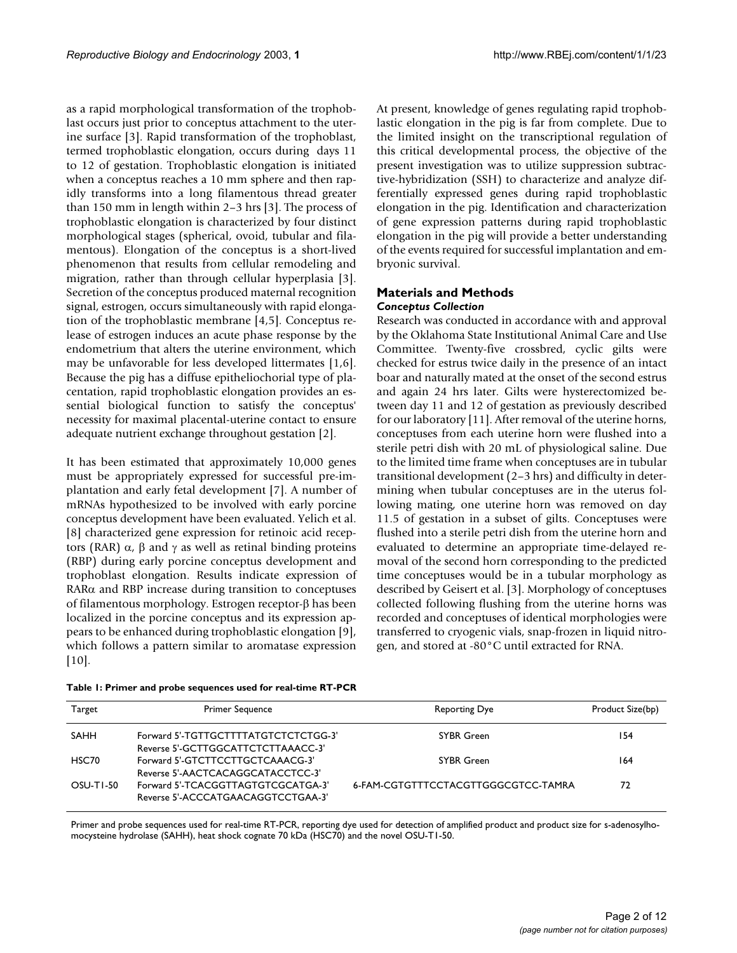as a rapid morphological transformation of the trophoblast occurs just prior to conceptus attachment to the uterine surface [3]. Rapid transformation of the trophoblast, termed trophoblastic elongation, occurs during days 11 to 12 of gestation. Trophoblastic elongation is initiated when a conceptus reaches a 10 mm sphere and then rapidly transforms into a long filamentous thread greater than 150 mm in length within 2–3 hrs [3]. The process of trophoblastic elongation is characterized by four distinct morphological stages (spherical, ovoid, tubular and filamentous). Elongation of the conceptus is a short-lived phenomenon that results from cellular remodeling and migration, rather than through cellular hyperplasia [3]. Secretion of the conceptus produced maternal recognition signal, estrogen, occurs simultaneously with rapid elongation of the trophoblastic membrane [4,[5](#page-10-0)]. Conceptus release of estrogen induces an acute phase response by the endometrium that alters the uterine environment, which may be unfavorable for less developed littermates [1,6]. Because the pig has a diffuse epitheliochorial type of placentation, rapid trophoblastic elongation provides an essential biological function to satisfy the conceptus' necessity for maximal placental-uterine contact to ensure adequate nutrient exchange throughout gestation [2].

It has been estimated that approximately 10,000 genes must be appropriately expressed for successful pre-implantation and early fetal development [7]. A number of mRNAs hypothesized to be involved with early porcine conceptus development have been evaluated. Yelich et al. [8] characterized gene expression for retinoic acid receptors (RAR)  $\alpha$ ,  $\beta$  and  $\gamma$  as well as retinal binding proteins (RBP) during early porcine conceptus development and trophoblast elongation. Results indicate expression of RARα and RBP increase during transition to conceptuses of filamentous morphology. Estrogen receptor-β has been localized in the porcine conceptus and its expression appears to be enhanced during trophoblastic elongation [9], which follows a pattern similar to aromatase expression  $[10]$ .

At present, knowledge of genes regulating rapid trophoblastic elongation in the pig is far from complete. Due to the limited insight on the transcriptional regulation of this critical developmental process, the objective of the present investigation was to utilize suppression subtractive-hybridization (SSH) to characterize and analyze differentially expressed genes during rapid trophoblastic elongation in the pig. Identification and characterization of gene expression patterns during rapid trophoblastic elongation in the pig will provide a better understanding of the events required for successful implantation and embryonic survival.

# **Materials and Methods** *Conceptus Collection*

Research was conducted in accordance with and approval by the Oklahoma State Institutional Animal Care and Use Committee. Twenty-five crossbred, cyclic gilts were checked for estrus twice daily in the presence of an intact boar and naturally mated at the onset of the second estrus and again 24 hrs later. Gilts were hysterectomized between day 11 and 12 of gestation as previously described for our laboratory [11]. After removal of the uterine horns, conceptuses from each uterine horn were flushed into a sterile petri dish with 20 mL of physiological saline. Due to the limited time frame when conceptuses are in tubular transitional development (2–3 hrs) and difficulty in determining when tubular conceptuses are in the uterus following mating, one uterine horn was removed on day 11.5 of gestation in a subset of gilts. Conceptuses were flushed into a sterile petri dish from the uterine horn and evaluated to determine an appropriate time-delayed removal of the second horn corresponding to the predicted time conceptuses would be in a tubular morphology as described by Geisert et al. [3]. Morphology of conceptuses collected following flushing from the uterine horns was recorded and conceptuses of identical morphologies were transferred to cryogenic vials, snap-frozen in liquid nitrogen, and stored at -80°C until extracted for RNA.

| Target    | <b>Primer Sequence</b>                                                     | Reporting Dye                       | Product Size(bp) |
|-----------|----------------------------------------------------------------------------|-------------------------------------|------------------|
| SAHH      | Forward 5'-TGTTGCTTTTATGTCTCTCTGG-3'<br>Reverse 5'-GCTTGGCATTCTCTTAAACC-3' | <b>SYBR Green</b>                   | 154              |
| HSC70     | Forward 5'-GTCTTCCTTGCTCAAACG-3'<br>Reverse 5'-AACTCACAGGCATACCTCC-3'      | SYBR Green                          | 164              |
| OSU-TI-50 | Forward 5'-TCACGGTTAGTGTCGCATGA-3'<br>Reverse 5'-ACCCATGAACAGGTCCTGAA-3'   | 6-FAM-CGTGTTTCCTACGTTGGGCGTCC-TAMRA | 72               |

<span id="page-1-0"></span>**Table 1: Primer and probe sequences used for real-time RT-PCR**

Primer and probe sequences used for real-time RT-PCR, reporting dye used for detection of amplified product and product size for s-adenosylhomocysteine hydrolase (SAHH), heat shock cognate 70 kDa (HSC70) and the novel OSU-T1-50.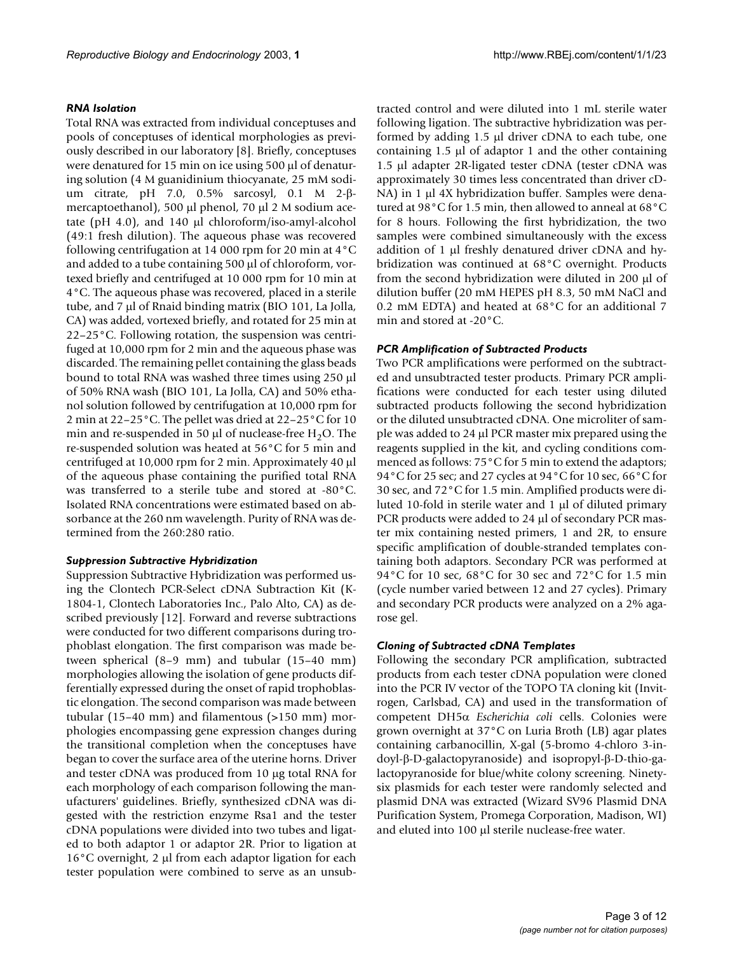#### *RNA Isolation*

Total RNA was extracted from individual conceptuses and pools of conceptuses of identical morphologies as previously described in our laboratory [8]. Briefly, conceptuses were denatured for 15 min on ice using 500 µl of denaturing solution (4 M guanidinium thiocyanate, 25 mM sodium citrate, pH 7.0, 0.5% sarcosyl, 0.1 M 2-βmercaptoethanol), 500 µl phenol, 70 µl 2 M sodium acetate (pH 4.0), and 140 µl chloroform/iso-amyl-alcohol (49:1 fresh dilution). The aqueous phase was recovered following centrifugation at 14 000 rpm for 20 min at 4°C and added to a tube containing 500 µl of chloroform, vortexed briefly and centrifuged at 10 000 rpm for 10 min at 4°C. The aqueous phase was recovered, placed in a sterile tube, and 7 µl of Rnaid binding matrix (BIO 101, La Jolla, CA) was added, vortexed briefly, and rotated for 25 min at 22–25°C. Following rotation, the suspension was centrifuged at 10,000 rpm for 2 min and the aqueous phase was discarded. The remaining pellet containing the glass beads bound to total RNA was washed three times using 250 µl of 50% RNA wash (BIO 101, La Jolla, CA) and 50% ethanol solution followed by centrifugation at 10,000 rpm for 2 min at 22–25°C. The pellet was dried at 22–25°C for 10 min and re-suspended in 50  $\mu$ l of nuclease-free H<sub>2</sub>O. The re-suspended solution was heated at 56°C for 5 min and centrifuged at 10,000 rpm for 2 min. Approximately 40 µl of the aqueous phase containing the purified total RNA was transferred to a sterile tube and stored at -80°C. Isolated RNA concentrations were estimated based on absorbance at the 260 nm wavelength. Purity of RNA was determined from the 260:280 ratio.

#### *Suppression Subtractive Hybridization*

Suppression Subtractive Hybridization was performed using the Clontech PCR-Select cDNA Subtraction Kit (K-1804-1, Clontech Laboratories Inc., Palo Alto, CA) as described previously [12]. Forward and reverse subtractions were conducted for two different comparisons during trophoblast elongation. The first comparison was made between spherical (8–9 mm) and tubular (15–40 mm) morphologies allowing the isolation of gene products differentially expressed during the onset of rapid trophoblastic elongation. The second comparison was made between tubular (15–40 mm) and filamentous (>150 mm) morphologies encompassing gene expression changes during the transitional completion when the conceptuses have began to cover the surface area of the uterine horns. Driver and tester cDNA was produced from 10 µg total RNA for each morphology of each comparison following the manufacturers' guidelines. Briefly, synthesized cDNA was digested with the restriction enzyme Rsa1 and the tester cDNA populations were divided into two tubes and ligated to both adaptor 1 or adaptor 2R. Prior to ligation at 16°C overnight, 2 µl from each adaptor ligation for each tester population were combined to serve as an unsubtracted control and were diluted into 1 mL sterile water following ligation. The subtractive hybridization was performed by adding 1.5 µl driver cDNA to each tube, one containing  $1.5 \mu l$  of adaptor 1 and the other containing 1.5 µl adapter 2R-ligated tester cDNA (tester cDNA was approximately 30 times less concentrated than driver cD-NA) in 1 µl 4X hybridization buffer. Samples were denatured at 98°C for 1.5 min, then allowed to anneal at 68°C for 8 hours. Following the first hybridization, the two samples were combined simultaneously with the excess addition of 1 µl freshly denatured driver cDNA and hybridization was continued at 68°C overnight. Products from the second hybridization were diluted in 200 µl of dilution buffer (20 mM HEPES pH 8.3, 50 mM NaCl and 0.2 mM EDTA) and heated at 68°C for an additional 7 min and stored at -20°C.

#### *PCR Amplification of Subtracted Products*

Two PCR amplifications were performed on the subtracted and unsubtracted tester products. Primary PCR amplifications were conducted for each tester using diluted subtracted products following the second hybridization or the diluted unsubtracted cDNA. One microliter of sample was added to 24 µl PCR master mix prepared using the reagents supplied in the kit, and cycling conditions commenced as follows: 75°C for 5 min to extend the adaptors; 94°C for 25 sec; and 27 cycles at 94°C for 10 sec, 66°C for 30 sec, and 72°C for 1.5 min. Amplified products were diluted 10-fold in sterile water and  $1 \mu$ l of diluted primary PCR products were added to 24 µl of secondary PCR master mix containing nested primers, 1 and 2R, to ensure specific amplification of double-stranded templates containing both adaptors. Secondary PCR was performed at 94°C for 10 sec, 68°C for 30 sec and 72°C for 1.5 min (cycle number varied between 12 and 27 cycles). Primary and secondary PCR products were analyzed on a 2% agarose gel.

#### *Cloning of Subtracted cDNA Templates*

Following the secondary PCR amplification, subtracted products from each tester cDNA population were cloned into the PCR IV vector of the TOPO TA cloning kit (Invitrogen, Carlsbad, CA) and used in the transformation of competent DH5α *Escherichia coli* cells. Colonies were grown overnight at 37°C on Luria Broth (LB) agar plates containing carbanocillin, X-gal (5-bromo 4-chloro 3-indoyl-β-D-galactopyranoside) and isopropyl-β-D-thio-galactopyranoside for blue/white colony screening. Ninetysix plasmids for each tester were randomly selected and plasmid DNA was extracted (Wizard SV96 Plasmid DNA Purification System, Promega Corporation, Madison, WI) and eluted into 100 µl sterile nuclease-free water.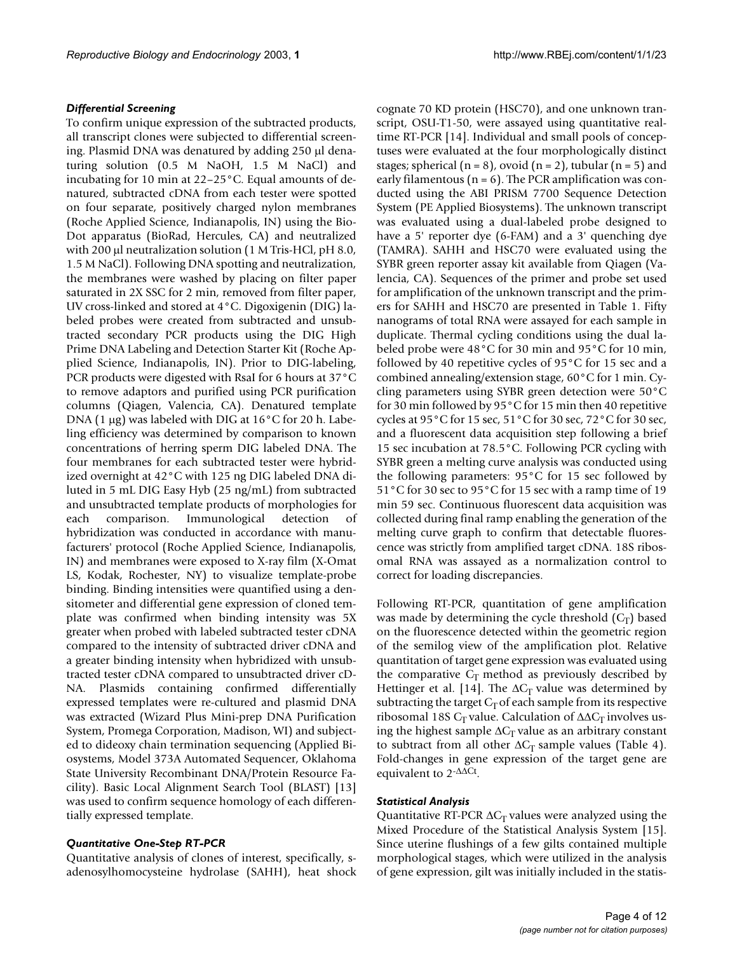#### *Differential Screening*

To confirm unique expression of the subtracted products, all transcript clones were subjected to differential screening. Plasmid DNA was denatured by adding 250 µl denaturing solution (0.5 M NaOH, 1.5 M NaCl) and incubating for 10 min at 22–25°C. Equal amounts of denatured, subtracted cDNA from each tester were spotted on four separate, positively charged nylon membranes (Roche Applied Science, Indianapolis, IN) using the Bio-Dot apparatus (BioRad, Hercules, CA) and neutralized with 200 µl neutralization solution (1 M Tris-HCl, pH 8.0, 1.5 M NaCl). Following DNA spotting and neutralization, the membranes were washed by placing on filter paper saturated in 2X SSC for 2 min, removed from filter paper, UV cross-linked and stored at 4°C. Digoxigenin (DIG) labeled probes were created from subtracted and unsubtracted secondary PCR products using the DIG High Prime DNA Labeling and Detection Starter Kit (Roche Applied Science, Indianapolis, IN). Prior to DIG-labeling, PCR products were digested with RsaI for 6 hours at 37°C to remove adaptors and purified using PCR purification columns (Qiagen, Valencia, CA). Denatured template DNA (1  $\mu$ g) was labeled with DIG at 16 $\degree$ C for 20 h. Labeling efficiency was determined by comparison to known concentrations of herring sperm DIG labeled DNA. The four membranes for each subtracted tester were hybridized overnight at 42°C with 125 ng DIG labeled DNA diluted in 5 mL DIG Easy Hyb (25 ng/mL) from subtracted and unsubtracted template products of morphologies for each comparison. Immunological detection of hybridization was conducted in accordance with manufacturers' protocol (Roche Applied Science, Indianapolis, IN) and membranes were exposed to X-ray film (X-Omat LS, Kodak, Rochester, NY) to visualize template-probe binding. Binding intensities were quantified using a densitometer and differential gene expression of cloned template was confirmed when binding intensity was 5X greater when probed with labeled subtracted tester cDNA compared to the intensity of subtracted driver cDNA and a greater binding intensity when hybridized with unsubtracted tester cDNA compared to unsubtracted driver cD-NA. Plasmids containing confirmed differentially expressed templates were re-cultured and plasmid DNA was extracted (Wizard Plus Mini-prep DNA Purification System, Promega Corporation, Madison, WI) and subjected to dideoxy chain termination sequencing (Applied Biosystems, Model 373A Automated Sequencer, Oklahoma State University Recombinant DNA/Protein Resource Facility). Basic Local Alignment Search Tool (BLAST) [13] was used to confirm sequence homology of each differentially expressed template.

#### *Quantitative One-Step RT-PCR*

Quantitative analysis of clones of interest, specifically, sadenosylhomocysteine hydrolase (SAHH), heat shock cognate 70 KD protein (HSC70), and one unknown transcript, OSU-T1-50, were assayed using quantitative realtime RT-PCR [14]. Individual and small pools of conceptuses were evaluated at the four morphologically distinct stages; spherical ( $n = 8$ ), ovoid ( $n = 2$ ), tubular ( $n = 5$ ) and early filamentous ( $n = 6$ ). The PCR amplification was conducted using the ABI PRISM 7700 Sequence Detection System (PE Applied Biosystems). The unknown transcript was evaluated using a dual-labeled probe designed to have a 5' reporter dye (6-FAM) and a 3' quenching dye (TAMRA). SAHH and HSC70 were evaluated using the SYBR green reporter assay kit available from Qiagen (Valencia, CA). Sequences of the primer and probe set used for amplification of the unknown transcript and the primers for SAHH and HSC70 are presented in Table [1.](#page-1-0) Fifty nanograms of total RNA were assayed for each sample in duplicate. Thermal cycling conditions using the dual labeled probe were 48°C for 30 min and 95°C for 10 min, followed by 40 repetitive cycles of 95°C for 15 sec and a combined annealing/extension stage, 60°C for 1 min. Cycling parameters using SYBR green detection were 50°C for 30 min followed by 95°C for 15 min then 40 repetitive cycles at 95°C for 15 sec, 51°C for 30 sec, 72°C for 30 sec, and a fluorescent data acquisition step following a brief 15 sec incubation at 78.5°C. Following PCR cycling with SYBR green a melting curve analysis was conducted using the following parameters: 95°C for 15 sec followed by 51°C for 30 sec to 95°C for 15 sec with a ramp time of 19 min 59 sec. Continuous fluorescent data acquisition was collected during final ramp enabling the generation of the melting curve graph to confirm that detectable fluorescence was strictly from amplified target cDNA. 18S ribosomal RNA was assayed as a normalization control to correct for loading discrepancies.

Following RT-PCR, quantitation of gene amplification was made by determining the cycle threshold  $(C_T)$  based on the fluorescence detected within the geometric region of the semilog view of the amplification plot. Relative quantitation of target gene expression was evaluated using the comparative  $C_T$  method as previously described by Hettinger et al. [14]. The  $\Delta C_T$  value was determined by subtracting the target  $C_T$  of each sample from its respective ribosomal 18S C<sub>T</sub> value. Calculation of  $\Delta\Delta C_T$  involves using the highest sample  $\Delta C_T$  value as an arbitrary constant to subtract from all other  $\Delta C_T$  sample values (Table [4\)](#page-5-0). Fold-changes in gene expression of the target gene are equivalent to 2-∆∆Ct.

#### *Statistical Analysis*

Quantitative RT-PCR  $\Delta C_T$  values were analyzed using the Mixed Procedure of the Statistical Analysis System [15]. Since uterine flushings of a few gilts contained multiple morphological stages, which were utilized in the analysis of gene expression, gilt was initially included in the statis-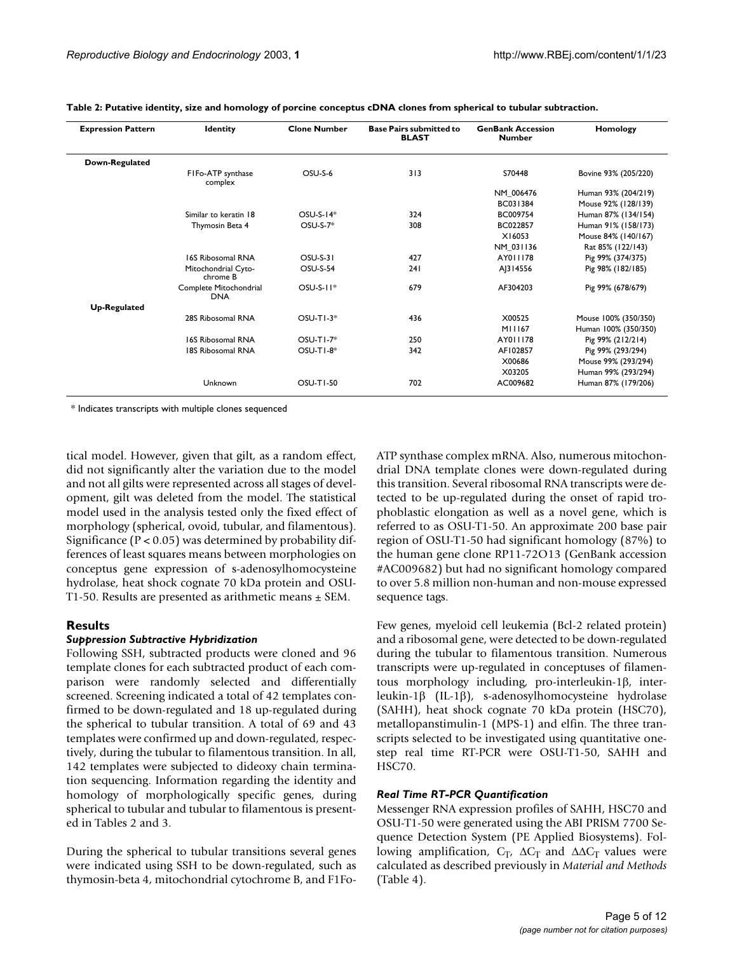| <b>Expression Pattern</b> | <b>Identity</b>                      | <b>Clone Number</b> | <b>Base Pairs submitted to</b><br><b>BLAST</b> | <b>GenBank Accession</b><br><b>Number</b> | Homology             |
|---------------------------|--------------------------------------|---------------------|------------------------------------------------|-------------------------------------------|----------------------|
| Down-Regulated            |                                      |                     |                                                |                                           |                      |
|                           | FIFo-ATP synthase<br>complex         | OSU-S-6             | 313                                            | S70448                                    | Bovine 93% (205/220) |
|                           |                                      |                     |                                                | NM 006476                                 | Human 93% (204/219)  |
|                           |                                      |                     |                                                | BC031384                                  | Mouse 92% (128/139)  |
|                           | Similar to keratin 18                | $OSU-S-14*$         | 324                                            | BC009754                                  | Human 87% (134/154)  |
|                           | Thymosin Beta 4                      | $OSU-S-7*$          | 308                                            | BC022857                                  | Human 91% (158/173)  |
|                           |                                      |                     |                                                | X16053                                    | Mouse 84% (140/167)  |
|                           |                                      |                     |                                                | NM 031136                                 | Rat 85% (122/143)    |
|                           | 16S Ribosomal RNA                    | <b>OSU-S-31</b>     | 427                                            | AY011178                                  | Pig 99% (374/375)    |
|                           | Mitochondrial Cyto-<br>chrome B      | <b>OSU-S-54</b>     | 241                                            | AJ314556                                  | Pig 98% (182/185)    |
|                           | Complete Mitochondrial<br><b>DNA</b> | $OSU-S-11*$         | 679                                            | AF304203                                  | Pig 99% (678/679)    |
| <b>Up-Regulated</b>       |                                      |                     |                                                |                                           |                      |
|                           | 28S Ribosomal RNA                    | $OSU-TI-3*$         | 436                                            | X00525                                    | Mouse 100% (350/350) |
|                           |                                      |                     |                                                | M11167                                    | Human 100% (350/350) |
|                           | 16S Ribosomal RNA                    | $OSU-TI-7*$         | 250                                            | AY011178                                  | Pig 99% (212/214)    |
|                           | 18S Ribosomal RNA                    | $OSU-TI-8*$         | 342                                            | AF102857                                  | Pig 99% (293/294)    |
|                           |                                      |                     |                                                | X00686                                    | Mouse 99% (293/294)  |
|                           |                                      |                     |                                                | X03205                                    | Human 99% (293/294)  |
|                           | Unknown                              | OSU-TI-50           | 702                                            | AC009682                                  | Human 87% (179/206)  |

<span id="page-4-0"></span>**Table 2: Putative identity, size and homology of porcine conceptus cDNA clones from spherical to tubular subtraction.**

\* Indicates transcripts with multiple clones sequenced

tical model. However, given that gilt, as a random effect, did not significantly alter the variation due to the model and not all gilts were represented across all stages of development, gilt was deleted from the model. The statistical model used in the analysis tested only the fixed effect of morphology (spherical, ovoid, tubular, and filamentous). Significance ( $P < 0.05$ ) was determined by probability differences of least squares means between morphologies on conceptus gene expression of s-adenosylhomocysteine hydrolase, heat shock cognate 70 kDa protein and OSU-T1-50. Results are presented as arithmetic means ± SEM.

### **Results**

#### *Suppression Subtractive Hybridization*

Following SSH, subtracted products were cloned and 96 template clones for each subtracted product of each comparison were randomly selected and differentially screened. Screening indicated a total of 42 templates confirmed to be down-regulated and 18 up-regulated during the spherical to tubular transition. A total of 69 and 43 templates were confirmed up and down-regulated, respectively, during the tubular to filamentous transition. In all, 142 templates were subjected to dideoxy chain termination sequencing. Information regarding the identity and homology of morphologically specific genes, during spherical to tubular and tubular to filamentous is presented in Tables [2](#page-4-0) and [3](#page-5-1).

During the spherical to tubular transitions several genes were indicated using SSH to be down-regulated, such as thymosin-beta 4, mitochondrial cytochrome B, and F1FoATP synthase complex mRNA. Also, numerous mitochondrial DNA template clones were down-regulated during this transition. Several ribosomal RNA transcripts were detected to be up-regulated during the onset of rapid trophoblastic elongation as well as a novel gene, which is referred to as OSU-T1-50. An approximate 200 base pair region of OSU-T1-50 had significant homology (87%) to the human gene clone RP11-72O13 (GenBank accession #AC009682) but had no significant homology compared to over 5.8 million non-human and non-mouse expressed sequence tags.

Few genes, myeloid cell leukemia (Bcl-2 related protein) and a ribosomal gene, were detected to be down-regulated during the tubular to filamentous transition. Numerous transcripts were up-regulated in conceptuses of filamentous morphology including, pro-interleukin-1β, interleukin-1β (IL-1β), s-adenosylhomocysteine hydrolase (SAHH), heat shock cognate 70 kDa protein (HSC70), metallopanstimulin-1 (MPS-1) and elfin. The three transcripts selected to be investigated using quantitative onestep real time RT-PCR were OSU-T1-50, SAHH and HSC70.

#### *Real Time RT-PCR Quantification*

Messenger RNA expression profiles of SAHH, HSC70 and OSU-T1-50 were generated using the ABI PRISM 7700 Sequence Detection System (PE Applied Biosystems). Following amplification,  $C_T$ ,  $\Delta C_T$  and  $\Delta \Delta C_T$  values were calculated as described previously in *Material and Methods* (Table [4\)](#page-5-0).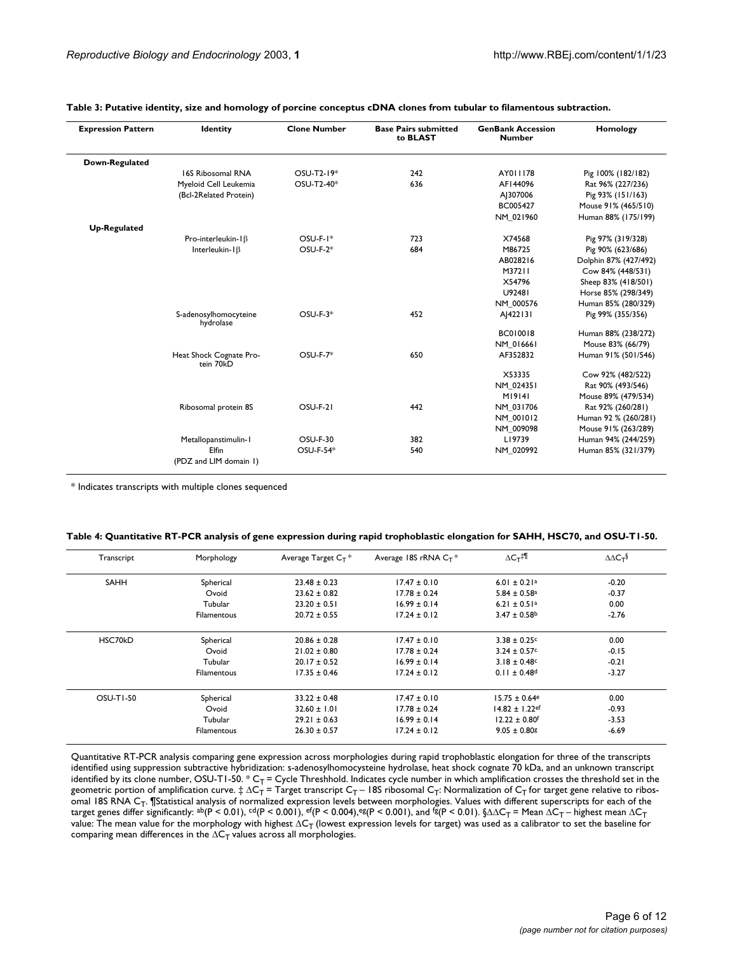| <b>Expression Pattern</b> | <b>Identity</b>                      | <b>Clone Number</b> | <b>Base Pairs submitted</b><br>to BLAST | <b>GenBank Accession</b><br><b>Number</b> | Homology              |
|---------------------------|--------------------------------------|---------------------|-----------------------------------------|-------------------------------------------|-----------------------|
| Down-Regulated            |                                      |                     |                                         |                                           |                       |
|                           | 16S Ribosomal RNA                    | OSU-T2-19*          | 242                                     | AY011178                                  | Pig 100% (182/182)    |
|                           | Myeloid Cell Leukemia                | OSU-T2-40*          | 636                                     | AF144096                                  | Rat 96% (227/236)     |
|                           | (Bcl-2Related Protein)               |                     |                                         | AJ307006                                  | Pig 93% (151/163)     |
|                           |                                      |                     |                                         | BC005427                                  | Mouse 91% (465/510)   |
|                           |                                      |                     |                                         | NM 021960                                 | Human 88% (175/199)   |
| <b>Up-Regulated</b>       |                                      |                     |                                         |                                           |                       |
|                           | Pro-interleukin- $\beta$             | $OSU-F-I*$          | 723                                     | X74568                                    | Pig 97% (319/328)     |
|                           | Interleukin- $\beta$                 | $OSU-F-2*$          | 684                                     | M86725                                    | Pig 90% (623/686)     |
|                           |                                      |                     |                                         | AB028216                                  | Dolphin 87% (427/492) |
|                           |                                      |                     |                                         | M37211                                    | Cow 84% (448/531)     |
|                           |                                      |                     |                                         | X54796                                    | Sheep 83% (418/501)   |
|                           |                                      |                     |                                         | U92481                                    | Horse 85% (298/349)   |
|                           |                                      |                     |                                         | NM 000576                                 | Human 85% (280/329)   |
|                           | S-adenosylhomocyteine<br>hydrolase   | $OSU-F-3*$          | 452                                     | A 422131                                  | Pig 99% (355/356)     |
|                           |                                      |                     |                                         | BC010018                                  | Human 88% (238/272)   |
|                           |                                      |                     |                                         | NM 016661                                 | Mouse 83% (66/79)     |
|                           | Heat Shock Cognate Pro-<br>tein 70KD | <b>OSU-F-7*</b>     | 650                                     | AF352832                                  | Human 91% (501/546)   |
|                           |                                      |                     |                                         | X53335                                    | Cow 92% (482/522)     |
|                           |                                      |                     |                                         | NM 024351                                 | Rat 90% (493/546)     |
|                           |                                      |                     |                                         | M19141                                    | Mouse 89% (479/534)   |
|                           | Ribosomal protein 8S                 | OSU-F-21            | 442                                     | NM 031706                                 | Rat 92% (260/281)     |
|                           |                                      |                     |                                         | NM 001012                                 | Human 92 % (260/281)  |
|                           |                                      |                     |                                         | NM 009098                                 | Mouse 91% (263/289)   |
|                           | Metallopanstimulin-1                 | <b>OSU-F-30</b>     | 382                                     | L19739                                    | Human 94% (244/259)   |
|                           | Elfin                                | OSU-F-54*           | 540                                     | NM_020992                                 | Human 85% (321/379)   |
|                           | (PDZ and LIM domain 1)               |                     |                                         |                                           |                       |

#### <span id="page-5-1"></span>**Table 3: Putative identity, size and homology of porcine conceptus cDNA clones from tubular to filamentous subtraction.**

\* Indicates transcripts with multiple clones sequenced

<span id="page-5-0"></span>

| Table 4: Quantitative RT-PCR analysis of gene expression during rapid trophoblastic elongation for SAHH, HSC70, and OSU-T1-50. |  |  |  |
|--------------------------------------------------------------------------------------------------------------------------------|--|--|--|
|                                                                                                                                |  |  |  |

| Transcript  | Morphology         | Average Target $C_T$ * | Average 18S rRNA $C_T$ * | $\Delta C_{\text{T}}^{\ddagger}$ | $\Delta\Delta C_T$ |
|-------------|--------------------|------------------------|--------------------------|----------------------------------|--------------------|
| <b>SAHH</b> | Spherical          | $23.48 \pm 0.23$       | $17.47 \pm 0.10$         | $6.01 \pm 0.21$ <sup>a</sup>     | $-0.20$            |
|             | Ovoid              | $23.62 \pm 0.82$       | $17.78 \pm 0.24$         | $5.84 \pm 0.58$ <sup>a</sup>     | $-0.37$            |
|             | Tubular            | $23.20 \pm 0.51$       | $16.99 \pm 0.14$         | $6.21 \pm 0.51$ <sup>a</sup>     | 0.00               |
|             | <b>Filamentous</b> | $20.72 \pm 0.55$       | $17.24 \pm 0.12$         | $3.47 \pm 0.58$ <sup>b</sup>     | $-2.76$            |
| HSC70kD     | Spherical          | $20.86 \pm 0.28$       | $17.47 \pm 0.10$         | $3.38 \pm 0.25$ c                | 0.00               |
|             | Ovoid              | $21.02 \pm 0.80$       | $17.78 \pm 0.24$         | $3.24 \pm 0.57$ °                | $-0.15$            |
|             | Tubular            | $20.17 \pm 0.52$       | $16.99 \pm 0.14$         | $3.18 \pm 0.48$ c                | $-0.21$            |
|             | <b>Filamentous</b> | $17.35 \pm 0.46$       | $17.24 \pm 0.12$         | $0.11 \pm 0.48$ <sup>d</sup>     | $-3.27$            |
| OSU-T1-50   | Spherical          | $33.22 \pm 0.48$       | $17.47 \pm 0.10$         | $15.75 \pm 0.64$ <sup>e</sup>    | 0.00               |
|             | Ovoid              | $32.60 \pm 1.01$       | $17.78 \pm 0.24$         | $14.82 \pm 1.22$ ef              | $-0.93$            |
|             | Tubular            | $29.21 \pm 0.63$       | $16.99 \pm 0.14$         | $12.22 \pm 0.80$ <sup>f</sup>    | $-3.53$            |
|             | <b>Filamentous</b> | $26.30 \pm 0.57$       | $17.24 \pm 0.12$         | $9.05 \pm 0.80$ $\sqrt{2}$       | $-6.69$            |

Quantitative RT-PCR analysis comparing gene expression across morphologies during rapid trophoblastic elongation for three of the transcripts identified using suppression subtractive hybridization: s-adenosylhomocysteine hydrolase, heat shock cognate 70 kDa, and an unknown transcript identified by its clone number, OSU-T1-50.  $^*C_T$  = Cycle Threshhold. Indicates cycle number in which amplification crosses the threshold set in the geometric portion of amplification curve.  $\ddagger \Delta C_T$  = Target transcript  $C_T$  – 18S ribosomal  $C_T$ : Normalization of  $C_T$  for target gene relative to ribosomal 18S RNA C<sub>T</sub>. ¶Statistical analysis of normalized expression levels between morphologies. Values with different superscripts for each of the target genes differ significantly: <sup>ab</sup>(P < 0.01), <sup>cd</sup>(P < 0.001), <sup>ef</sup>(P < 0.004),<sup>eg</sup>(P < 0.001), and <sup>fg</sup>(P < 0.01). §∆∆C<sub>T</sub> = Mean ∆C<sub>T</sub> – highest mean ∆C<sub>T</sub> value: The mean value for the morphology with highest ∆C $_\mathsf{T}$  (lowest expression levels for target) was used as a calibrator to set the baseline for comparing mean differences in the  $\Delta C_T$  values across all morphologies.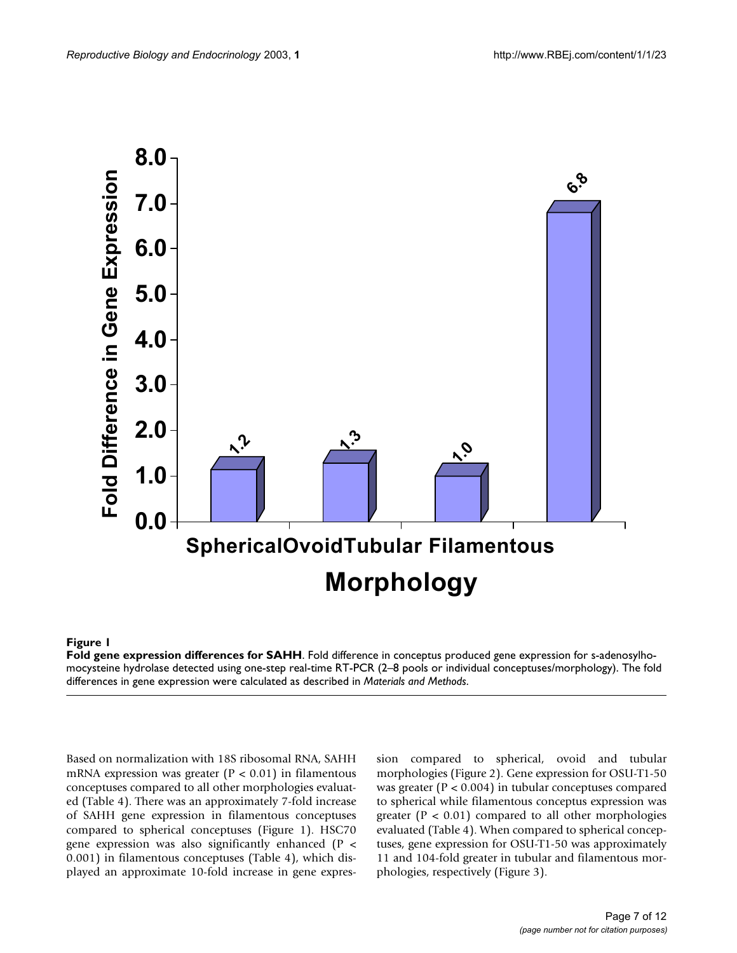

#### **Figure 1**

**Fold gene expression differences for SAHH**. Fold difference in conceptus produced gene expression for s-adenosylhomocysteine hydrolase detected using one-step real-time RT-PCR (2–8 pools or individual conceptuses/morphology). The fold differences in gene expression were calculated as described in *Materials and Methods*.

Based on normalization with 18S ribosomal RNA, SAHH mRNA expression was greater ( $P < 0.01$ ) in filamentous conceptuses compared to all other morphologies evaluated (Table [4](#page-5-0)). There was an approximately 7-fold increase of SAHH gene expression in filamentous conceptuses compared to spherical conceptuses (Figure 1). HSC70 gene expression was also significantly enhanced (P < 0.001) in filamentous conceptuses (Table [4\)](#page-5-0), which displayed an approximate 10-fold increase in gene expression compared to spherical, ovoid and tubular morphologies (Figure [2\)](#page-7-0). Gene expression for OSU-T1-50 was greater (P < 0.004) in tubular conceptuses compared to spherical while filamentous conceptus expression was greater ( $P < 0.01$ ) compared to all other morphologies evaluated (Table [4\)](#page-5-0). When compared to spherical conceptuses, gene expression for OSU-T1-50 was approximately 11 and 104-fold greater in tubular and filamentous morphologies, respectively (Figure [3](#page-8-0)).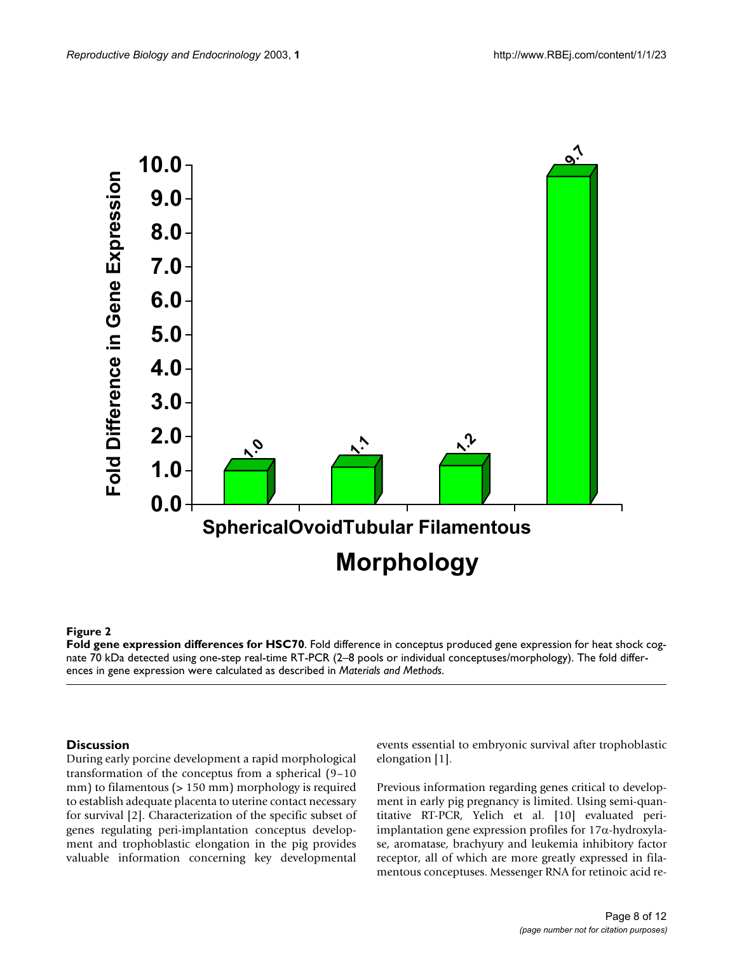<span id="page-7-0"></span>

### **Figure 2**

**Fold gene expression differences for HSC70**. Fold difference in conceptus produced gene expression for heat shock cognate 70 kDa detected using one-step real-time RT-PCR (2–8 pools or individual conceptuses/morphology). The fold differences in gene expression were calculated as described in *Materials and Methods*.

#### **Discussion**

During early porcine development a rapid morphological transformation of the conceptus from a spherical (9–10 mm) to filamentous (> 150 mm) morphology is required to establish adequate placenta to uterine contact necessary for survival [2]. Characterization of the specific subset of genes regulating peri-implantation conceptus development and trophoblastic elongation in the pig provides valuable information concerning key developmental events essential to embryonic survival after trophoblastic elongation [1].

Previous information regarding genes critical to development in early pig pregnancy is limited. Using semi-quantitative RT-PCR, Yelich et al. [10] evaluated periimplantation gene expression profiles for 17α-hydroxylase, aromatase, brachyury and leukemia inhibitory factor receptor, all of which are more greatly expressed in filamentous conceptuses. Messenger RNA for retinoic acid re-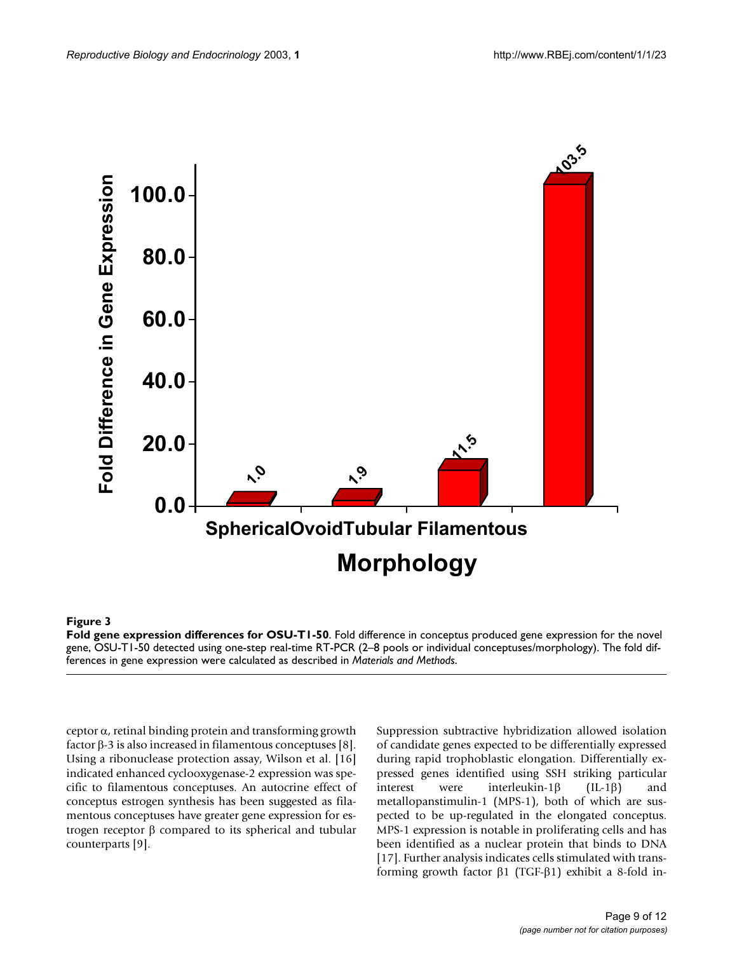<span id="page-8-0"></span>

#### **Figure 3**

**Fold gene expression differences for OSU-T1-50**. Fold difference in conceptus produced gene expression for the novel gene, OSU-T1-50 detected using one-step real-time RT-PCR (2–8 pools or individual conceptuses/morphology). The fold differences in gene expression were calculated as described in *Materials and Methods*.

 $c$ eptor  $\alpha$ , retinal binding protein and transforming growth factor β-3 is also increased in filamentous conceptuses [8]. Using a ribonuclease protection assay, Wilson et al. [16] indicated enhanced cyclooxygenase-2 expression was specific to filamentous conceptuses. An autocrine effect of conceptus estrogen synthesis has been suggested as filamentous conceptuses have greater gene expression for estrogen receptor β compared to its spherical and tubular counterparts [9].

Suppression subtractive hybridization allowed isolation of candidate genes expected to be differentially expressed during rapid trophoblastic elongation. Differentially expressed genes identified using SSH striking particular interest were interleukin-1β (IL-1β) and metallopanstimulin-1 (MPS-1), both of which are suspected to be up-regulated in the elongated conceptus. MPS-1 expression is notable in proliferating cells and has been identified as a nuclear protein that binds to DNA [17]. Further analysis indicates cells stimulated with transforming growth factor β1 (TGF-β1) exhibit a 8-fold in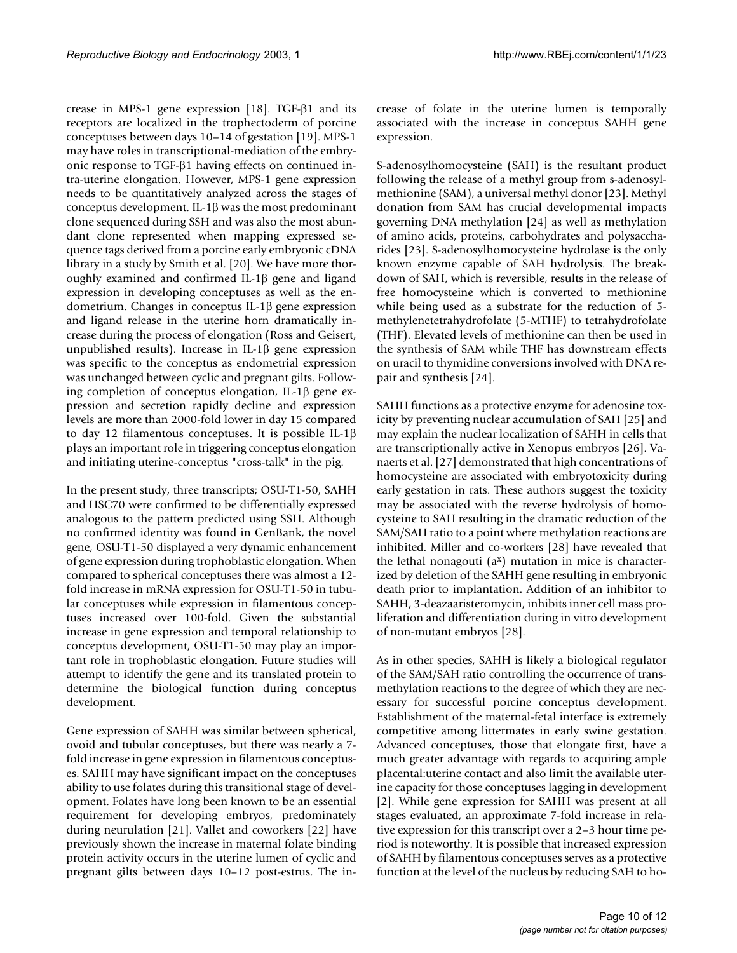crease in MPS-1 gene expression [18]. TGF-β1 and its receptors are localized in the trophectoderm of porcine conceptuses between days 10–14 of gestation [19]. MPS-1 may have roles in transcriptional-mediation of the embryonic response to TGF-β1 having effects on continued intra-uterine elongation. However, MPS-1 gene expression needs to be quantitatively analyzed across the stages of conceptus development. IL-1β was the most predominant clone sequenced during SSH and was also the most abundant clone represented when mapping expressed sequence tags derived from a porcine early embryonic cDNA library in a study by Smith et al. [20]. We have more thoroughly examined and confirmed IL-1β gene and ligand expression in developing conceptuses as well as the endometrium. Changes in conceptus IL-1β gene expression and ligand release in the uterine horn dramatically increase during the process of elongation (Ross and Geisert, unpublished results). Increase in IL-1β gene expression was specific to the conceptus as endometrial expression was unchanged between cyclic and pregnant gilts. Following completion of conceptus elongation, IL-1β gene expression and secretion rapidly decline and expression levels are more than 2000-fold lower in day 15 compared to day 12 filamentous conceptuses. It is possible IL-1β plays an important role in triggering conceptus elongation and initiating uterine-conceptus "cross-talk" in the pig.

In the present study, three transcripts; OSU-T1-50, SAHH and HSC70 were confirmed to be differentially expressed analogous to the pattern predicted using SSH. Although no confirmed identity was found in GenBank, the novel gene, OSU-T1-50 displayed a very dynamic enhancement of gene expression during trophoblastic elongation. When compared to spherical conceptuses there was almost a 12 fold increase in mRNA expression for OSU-T1-50 in tubular conceptuses while expression in filamentous conceptuses increased over 100-fold. Given the substantial increase in gene expression and temporal relationship to conceptus development, OSU-T1-50 may play an important role in trophoblastic elongation. Future studies will attempt to identify the gene and its translated protein to determine the biological function during conceptus development.

Gene expression of SAHH was similar between spherical, ovoid and tubular conceptuses, but there was nearly a 7 fold increase in gene expression in filamentous conceptuses. SAHH may have significant impact on the conceptuses ability to use folates during this transitional stage of development. Folates have long been known to be an essential requirement for developing embryos, predominately during neurulation [21]. Vallet and coworkers [22] have previously shown the increase in maternal folate binding protein activity occurs in the uterine lumen of cyclic and pregnant gilts between days 10–12 post-estrus. The increase of folate in the uterine lumen is temporally associated with the increase in conceptus SAHH gene expression.

S-adenosylhomocysteine (SAH) is the resultant product following the release of a methyl group from s-adenosylmethionine (SAM), a universal methyl donor [23]. Methyl donation from SAM has crucial developmental impacts governing DNA methylation [24] as well as methylation of amino acids, proteins, carbohydrates and polysaccharides [23]. S-adenosylhomocysteine hydrolase is the only known enzyme capable of SAH hydrolysis. The breakdown of SAH, which is reversible, results in the release of free homocysteine which is converted to methionine while being used as a substrate for the reduction of 5 methylenetetrahydrofolate (5-MTHF) to tetrahydrofolate (THF). Elevated levels of methionine can then be used in the synthesis of SAM while THF has downstream effects on uracil to thymidine conversions involved with DNA repair and synthesis [24].

SAHH functions as a protective enzyme for adenosine toxicity by preventing nuclear accumulation of SAH [25] and may explain the nuclear localization of SAHH in cells that are transcriptionally active in Xenopus embryos [26]. Vanaerts et al. [27] demonstrated that high concentrations of homocysteine are associated with embryotoxicity during early gestation in rats. These authors suggest the toxicity may be associated with the reverse hydrolysis of homocysteine to SAH resulting in the dramatic reduction of the SAM/SAH ratio to a point where methylation reactions are inhibited. Miller and co-workers [[28](#page-11-0)] have revealed that the lethal nonagouti  $(a^x)$  mutation in mice is characterized by deletion of the SAHH gene resulting in embryonic death prior to implantation. Addition of an inhibitor to SAHH, 3-deazaaristeromycin, inhibits inner cell mass proliferation and differentiation during in vitro development of non-mutant embryos [\[28\]](#page-11-0).

As in other species, SAHH is likely a biological regulator of the SAM/SAH ratio controlling the occurrence of transmethylation reactions to the degree of which they are necessary for successful porcine conceptus development. Establishment of the maternal-fetal interface is extremely competitive among littermates in early swine gestation. Advanced conceptuses, those that elongate first, have a much greater advantage with regards to acquiring ample placental:uterine contact and also limit the available uterine capacity for those conceptuses lagging in development [2]. While gene expression for SAHH was present at all stages evaluated, an approximate 7-fold increase in relative expression for this transcript over a 2–3 hour time period is noteworthy. It is possible that increased expression of SAHH by filamentous conceptuses serves as a protective function at the level of the nucleus by reducing SAH to ho-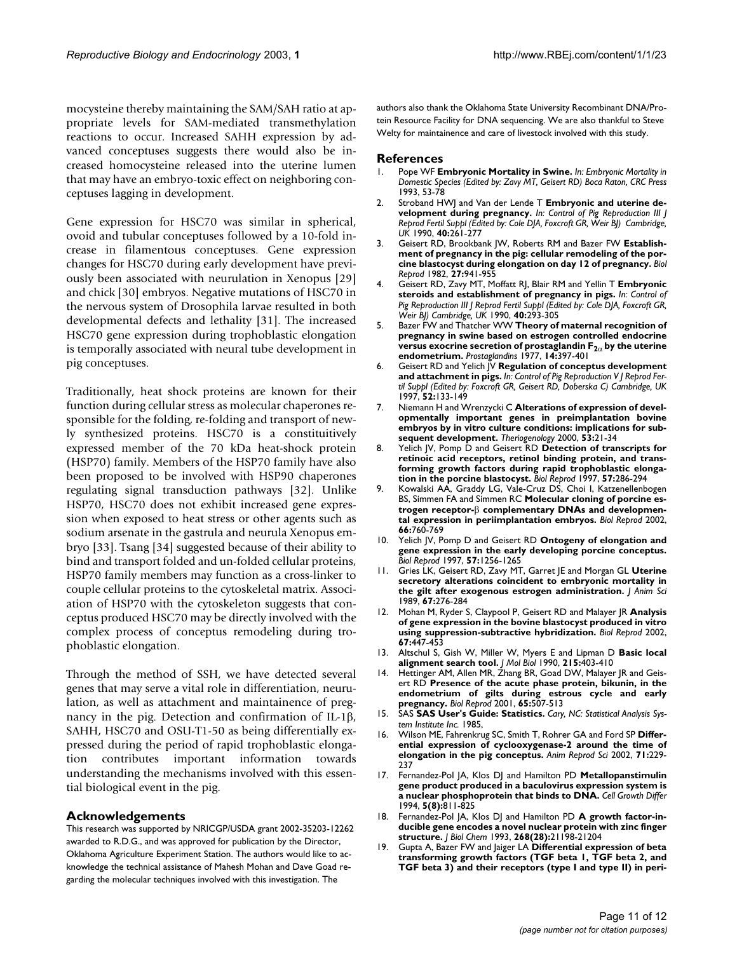mocysteine thereby maintaining the SAM/SAH ratio at appropriate levels for SAM-mediated transmethylation reactions to occur. Increased SAHH expression by advanced conceptuses suggests there would also be increased homocysteine released into the uterine lumen that may have an embryo-toxic effect on neighboring conceptuses lagging in development.

Gene expression for HSC70 was similar in spherical, ovoid and tubular conceptuses followed by a 10-fold increase in filamentous conceptuses. Gene expression changes for HSC70 during early development have previously been associated with neurulation in Xenopus [29] and chick [30] embryos. Negative mutations of HSC70 in the nervous system of Drosophila larvae resulted in both developmental defects and lethality [31]. The increased HSC70 gene expression during trophoblastic elongation is temporally associated with neural tube development in pig conceptuses.

Traditionally, heat shock proteins are known for their function during cellular stress as molecular chaperones responsible for the folding, re-folding and transport of newly synthesized proteins. HSC70 is a constituitively expressed member of the 70 kDa heat-shock protein (HSP70) family. Members of the HSP70 family have also been proposed to be involved with HSP90 chaperones regulating signal transduction pathways [32]. Unlike HSP70, HSC70 does not exhibit increased gene expression when exposed to heat stress or other agents such as sodium arsenate in the gastrula and neurula Xenopus embryo [33]. Tsang [34] suggested because of their ability to bind and transport folded and un-folded cellular proteins, HSP70 family members may function as a cross-linker to couple cellular proteins to the cytoskeletal matrix. Association of HSP70 with the cytoskeleton suggests that conceptus produced HSC70 may be directly involved with the complex process of conceptus remodeling during trophoblastic elongation.

Through the method of SSH, we have detected several genes that may serve a vital role in differentiation, neurulation, as well as attachment and maintainence of pregnancy in the pig. Detection and confirmation of IL-1β, SAHH, HSC70 and OSU-T1-50 as being differentially expressed during the period of rapid trophoblastic elongation contributes important information towards understanding the mechanisms involved with this essential biological event in the pig.

#### **Acknowledgements**

This research was supported by NRICGP/USDA grant 2002-35203-12262 awarded to R.D.G., and was approved for publication by the Director, Oklahoma Agriculture Experiment Station. The authors would like to acknowledge the technical assistance of Mahesh Mohan and Dave Goad regarding the molecular techniques involved with this investigation. The

authors also thank the Oklahoma State University Recombinant DNA/Protein Resource Facility for DNA sequencing. We are also thankful to Steve Welty for maintainence and care of livestock involved with this study.

#### **References**

- 1. Pope WF **Embryonic Mortality in Swine.** *In: Embryonic Mortality in Domestic Species (Edited by: Zavy MT, Geisert RD) Boca Raton, CRC Press* 1993, 53-78
- 2. Stroband HWJ and Van der Lende T **Embryonic and uterine development during pregnancy.** *In: Control of Pig Reproduction III J Reprod Fertil Suppl (Edited by: Cole DJA, Foxcroft GR, Weir BJ) Cambridge, UK* 1990, **40:**261-277
- 3. Geisert RD, Brookbank JW, Roberts RM and Bazer FW **[Establish](http://www.ncbi.nlm.nih.gov/entrez/query.fcgi?cmd=Retrieve&db=PubMed&dopt=Abstract&list_uids=6184080)[ment of pregnancy in the pig: cellular remodeling of the por](http://www.ncbi.nlm.nih.gov/entrez/query.fcgi?cmd=Retrieve&db=PubMed&dopt=Abstract&list_uids=6184080)[cine blastocyst during elongation on day 12 of pregnancy.](http://www.ncbi.nlm.nih.gov/entrez/query.fcgi?cmd=Retrieve&db=PubMed&dopt=Abstract&list_uids=6184080)** *Biol Reprod* 1982, **27:**941-955
- 4. Geisert RD, Zavy MT, Moffatt RJ, Blair RM and Yellin T **Embryonic steroids and establishment of pregnancy in pigs.** *In: Control of Pig Reproduction III J Reprod Fertil Suppl (Edited by: Cole DJA, Foxcroft GR, Weir BJ) Cambridge, UK* 1990, **40:**293-305
- <span id="page-10-0"></span>5. Bazer FW and Thatcher WW **Theory of maternal recognition of pregnancy in swine based on estrogen controlled endocrine versus exocrine secretion of prostaglandin F<sub>2α</sub> [by the uterine](http://www.ncbi.nlm.nih.gov/entrez/query.fcgi?cmd=Retrieve&db=PubMed&dopt=Abstract&list_uids=897228) [endometrium.](http://www.ncbi.nlm.nih.gov/entrez/query.fcgi?cmd=Retrieve&db=PubMed&dopt=Abstract&list_uids=897228)** *Prostaglandins* 1977, **14:**397-401
- 6. Geisert RD and Yelich JV **Regulation of conceptus development and attachment in pigs.** *In: Control of Pig Reproduction V J Reprod Fertil Suppl (Edited by: Foxcroft GR, Geisert RD, Doberska C) Cambridge, UK* 1997, **52:**133-149
- 7. Niemann H and Wrenzycki C **[Alterations of expression of devel](http://www.ncbi.nlm.nih.gov/entrez/query.fcgi?cmd=Retrieve&db=PubMed&dopt=Abstract&list_uids=10735059)[opmentally important genes in preimplantation bovine](http://www.ncbi.nlm.nih.gov/entrez/query.fcgi?cmd=Retrieve&db=PubMed&dopt=Abstract&list_uids=10735059) embryos by in vitro culture conditions: implications for sub[sequent development.](http://www.ncbi.nlm.nih.gov/entrez/query.fcgi?cmd=Retrieve&db=PubMed&dopt=Abstract&list_uids=10735059)** *Theriogenology* 2000, **53:**21-34
- 8. Yelich JV, Pomp D and Geisert RD **[Detection of transcripts for](http://www.ncbi.nlm.nih.gov/entrez/query.fcgi?cmd=Retrieve&db=PubMed&dopt=Abstract&list_uids=9241041) [retinoic acid receptors, retinol binding protein, and trans](http://www.ncbi.nlm.nih.gov/entrez/query.fcgi?cmd=Retrieve&db=PubMed&dopt=Abstract&list_uids=9241041)forming growth factors during rapid trophoblastic elonga[tion in the porcine blastocyst.](http://www.ncbi.nlm.nih.gov/entrez/query.fcgi?cmd=Retrieve&db=PubMed&dopt=Abstract&list_uids=9241041)** *Biol Reprod* 1997, **57:**286-294
- Kowalski AA, Graddy LG, Vale-Cruz DS, Choi I, Katzenellenbogen BS, Simmen FA and Simmen RC **Molecular cloning of porcine estrogen receptor-**β **[complementary DNAs and developmen](http://www.ncbi.nlm.nih.gov/entrez/query.fcgi?cmd=Retrieve&db=PubMed&dopt=Abstract&list_uids=11870084)[tal expression in periimplantation embryos.](http://www.ncbi.nlm.nih.gov/entrez/query.fcgi?cmd=Retrieve&db=PubMed&dopt=Abstract&list_uids=11870084)** *Biol Reprod* 2002, **66:**760-769
- 10. Yelich JV, Pomp D and Geisert RD **[Ontogeny of elongation and](http://www.ncbi.nlm.nih.gov/entrez/query.fcgi?cmd=Retrieve&db=PubMed&dopt=Abstract&list_uids=9369195) [gene expression in the early developing porcine conceptus.](http://www.ncbi.nlm.nih.gov/entrez/query.fcgi?cmd=Retrieve&db=PubMed&dopt=Abstract&list_uids=9369195)** *Biol Reprod* 1997, **57:**1256-1265
- 11. Gries LK, Geisert RD, Zavy MT, Garret JE and Morgan GL **[Uterine](http://www.ncbi.nlm.nih.gov/entrez/query.fcgi?cmd=Retrieve&db=PubMed&dopt=Abstract&list_uids=2925548) [secretory alterations coincident to embryonic mortality in](http://www.ncbi.nlm.nih.gov/entrez/query.fcgi?cmd=Retrieve&db=PubMed&dopt=Abstract&list_uids=2925548) [the gilt after exogenous estrogen administration.](http://www.ncbi.nlm.nih.gov/entrez/query.fcgi?cmd=Retrieve&db=PubMed&dopt=Abstract&list_uids=2925548)** *J Anim Sci* 1989, **67:**276-284
- 12. Mohan M, Ryder S, Claypool P, Geisert RD and Malayer JR **[Analysis](http://www.ncbi.nlm.nih.gov/entrez/query.fcgi?cmd=Retrieve&db=PubMed&dopt=Abstract&list_uids=12135880) [of gene expression in the bovine blastocyst produced in vitro](http://www.ncbi.nlm.nih.gov/entrez/query.fcgi?cmd=Retrieve&db=PubMed&dopt=Abstract&list_uids=12135880) [using suppression-subtractive hybridization.](http://www.ncbi.nlm.nih.gov/entrez/query.fcgi?cmd=Retrieve&db=PubMed&dopt=Abstract&list_uids=12135880)** *Biol Reprod* 2002, **67:**447-453
- 13. Altschul S, Gish W, Miller W, Myers E and Lipman D **[Basic local](http://www.ncbi.nlm.nih.gov/entrez/query.fcgi?cmd=Retrieve&db=PubMed&dopt=Abstract&list_uids=2231712) [alignment search tool.](http://www.ncbi.nlm.nih.gov/entrez/query.fcgi?cmd=Retrieve&db=PubMed&dopt=Abstract&list_uids=2231712)** *J Mol Biol* 1990, **215:**403-410
- 14. Hettinger AM, Allen MR, Zhang BR, Goad DW, Malayer JR and Geisert RD **[Presence of the acute phase protein, bikunin, in the](http://www.ncbi.nlm.nih.gov/entrez/query.fcgi?cmd=Retrieve&db=PubMed&dopt=Abstract&list_uids=11466219) [endometrium of gilts during estrous cycle and early](http://www.ncbi.nlm.nih.gov/entrez/query.fcgi?cmd=Retrieve&db=PubMed&dopt=Abstract&list_uids=11466219) [pregnancy.](http://www.ncbi.nlm.nih.gov/entrez/query.fcgi?cmd=Retrieve&db=PubMed&dopt=Abstract&list_uids=11466219)** *Biol Reprod* 2001, **65:**507-513
- 15. SAS **SAS User's Guide: Statistics.** *Cary, NC: Statistical Analysis System Institute Inc.* 1985,
- 16. Wilson ME, Fahrenkrug SC, Smith T, Rohrer GA and Ford SP **[Differ](http://www.ncbi.nlm.nih.gov/entrez/query.fcgi?cmd=Retrieve&db=PubMed&dopt=Abstract&list_uids=12047931)[ential expression of cyclooxygenase-2 around the time of](http://www.ncbi.nlm.nih.gov/entrez/query.fcgi?cmd=Retrieve&db=PubMed&dopt=Abstract&list_uids=12047931) [elongation in the pig conceptus.](http://www.ncbi.nlm.nih.gov/entrez/query.fcgi?cmd=Retrieve&db=PubMed&dopt=Abstract&list_uids=12047931)** *Anim Reprod Sci* 2002, **71:**229- 237
- 17. Fernandez-Pol JA, Klos DJ and Hamilton PD **[Metallopanstimulin](http://www.ncbi.nlm.nih.gov/entrez/query.fcgi?cmd=Retrieve&db=PubMed&dopt=Abstract&list_uids=7986747) [gene product produced in a baculovirus expression system is](http://www.ncbi.nlm.nih.gov/entrez/query.fcgi?cmd=Retrieve&db=PubMed&dopt=Abstract&list_uids=7986747) [a nuclear phosphoprotein that binds to DNA.](http://www.ncbi.nlm.nih.gov/entrez/query.fcgi?cmd=Retrieve&db=PubMed&dopt=Abstract&list_uids=7986747)** *Cell Growth Differ* 1994, **5(8):**811-825
- 18. Fernandez-Pol JA, Klos DJ and Hamilton PD **[A growth factor-in](http://www.ncbi.nlm.nih.gov/entrez/query.fcgi?cmd=Retrieve&db=PubMed&dopt=Abstract&list_uids=8407955)[ducible gene encodes a novel nuclear protein with zinc finger](http://www.ncbi.nlm.nih.gov/entrez/query.fcgi?cmd=Retrieve&db=PubMed&dopt=Abstract&list_uids=8407955) [structure.](http://www.ncbi.nlm.nih.gov/entrez/query.fcgi?cmd=Retrieve&db=PubMed&dopt=Abstract&list_uids=8407955)** *J Biol Chem* 1993, **268(28):**21198-21204
- 19. Gupta A, Bazer FW and Jaiger LA **[Differential expression of beta](http://www.ncbi.nlm.nih.gov/entrez/query.fcgi?cmd=Retrieve&db=PubMed&dopt=Abstract&list_uids=8879492) [transforming growth factors \(TGF beta 1, TGF beta 2, and](http://www.ncbi.nlm.nih.gov/entrez/query.fcgi?cmd=Retrieve&db=PubMed&dopt=Abstract&list_uids=8879492) [TGF beta 3\) and their receptors \(type I and type II\) in peri](http://www.ncbi.nlm.nih.gov/entrez/query.fcgi?cmd=Retrieve&db=PubMed&dopt=Abstract&list_uids=8879492)-**